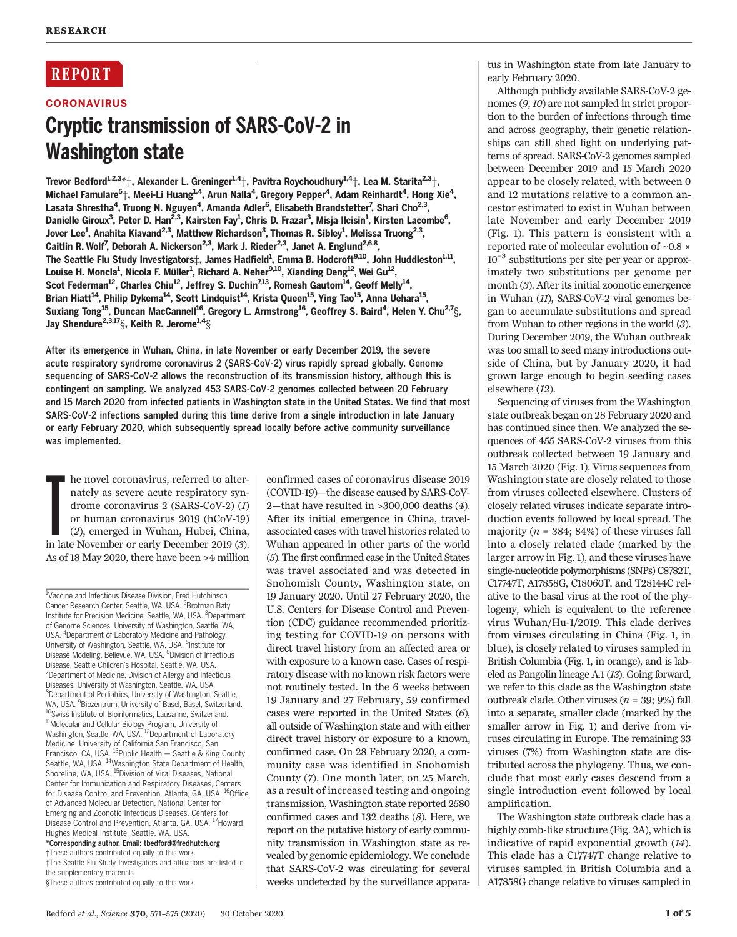# **REPORT**

## **CORONAVIRUS**

# Cryptic transmission of SARS-CoV-2 in

The state state to state the state of the state of the state of the state of the state of the state of the Starita  $^{2,3}$ †, Irevor Bedford $^{1,2,3,*}$ †, Alexander L. Greninger $^{1,4}$ †, Pavitra Roychoudhury $^{1,4}$ †, Lea M. S Michael Famulare<sup>5</sup>†, Meei-Li Huang<sup>1,4</sup>, Arun Nalla<sup>4</sup>, Gregory Pepper<sup>4</sup>, Adam Reinhardt<sup>4</sup>, Hong Xie<sup>4</sup>, Lasata Shrestha<sup>4</sup>, Truong N. Nguyen<sup>4</sup>, Amanda Adler<sup>6</sup>, Elisabeth Brandstetter<sup>7</sup>, Shari Cho<sup>2,3</sup>, Danielle Giroux<sup>3</sup>, Peter D. Han<sup>2,3</sup>, Kairsten Fay<sup>1</sup>, Chris D. Frazar<sup>3</sup>, Misja Ilcisin<sup>1</sup>, Kirsten Lacombe<sup>6</sup>, Jover Lee<sup>1</sup>, Anahita Kiavand<sup>2,3</sup>, Matthew Richardson<sup>3</sup>, Thomas R. Sibley<sup>1</sup>, Melissa Truong<sup>2,3</sup>, Caitlin R. Wolf<sup>7</sup>, Deborah A. Nickerson<sup>2,3</sup>, Mark J. Rieder<sup>2,3</sup>, Janet A. Englund<sup>2,6,8</sup>, The Seattle Flu Study Investigators $\ddagger$ , James Hadfield $^1$ , Emma B. Hodcroft $^{9,10}$ , John Huddleston $^{1,11},$ Louise H. Moncla<sup>1</sup>, Nicola F. Müller<sup>1</sup>, Richard A. Neher<sup>9,10</sup>, Xianding Deng<sup>12</sup>, Wei Gu<sup>12</sup>, Scot Federman<sup>12</sup>, Charles Chiu<sup>12</sup>, Jeffrey S. Duchin<sup>7,13</sup>, Romesh Gautom<sup>14</sup>, Geoff Melly<sup>14</sup>, Brian Hiatt<sup>14</sup>, Philip Dykema<sup>14</sup>, Scott Lindquist<sup>14</sup>, Krista Queen<sup>15</sup>, Ying Tao<sup>15</sup>, Anna Uehara<sup>15</sup>, Suxiang Tong<sup>15</sup>, Duncan MacCannell<sup>16</sup>, Gregory L. Armstrong<sup>16</sup>, Geoffrey S. Baird<sup>4</sup>, Helen Y. Chu<sup>2,7</sup>§, Jay Shendure<sup>2,3,17</sup> $\S$ , Keith R. Jerome $^{1,4}\S$ 

After its emergence in Wuhan, China, in late November or early December 2019, the severe acute respiratory syndrome coronavirus 2 (SARS-CoV-2) virus rapidly spread globally. Genome sequencing of SARS-CoV-2 allows the reconstruction of its transmission history, although this is contingent on sampling. We analyzed 453 SARS-CoV-2 genomes collected between 20 February and 15 March 2020 from infected patients in Washington state in the United States. We find that most SARS-CoV-2 infections sampled during this time derive from a single introduction in late January or early February 2020, which subsequently spread locally before active community surveillance was implemented.

he novel coronavirus, referred to alternately as severe acute respiratory syndrome coronavirus 2 (SARS-CoV-2) (1) or human coronavirus 2019 (hCoV-19) (2), emerged in Wuhan, Hubei, China, in late November or early December he novel coronavirus, referred to alternately as severe acute respiratory syndrome coronavirus 2 (SARS-CoV-2) (1) or human coronavirus 2019 (hCoV-19) (2), emerged in Wuhan, Hubei, China, As of 18 May 2020, there have been >4 million

<sup>1</sup>Vaccine and Infectious Disease Division, Fred Hutchinson Cancer Research Center, Seattle, WA, USA. <sup>2</sup> Brotman Baty Institute for Precision Medicine, Seattle, WA, USA. <sup>3</sup>Department of Genome Sciences, University of Washington, Seattle, WA, USA. <sup>4</sup> Department of Laboratory Medicine and Pathology, University of Washington, Seattle, WA, USA. <sup>5</sup>Institute for Disease Modeling, Bellevue, WA, USA. <sup>6</sup>Division of Infectious Disease, Seattle Children's Hospital, Seattle, WA, USA. <sup>7</sup> <sup>7</sup>Department of Medicine, Division of Allergy and Infectious Diseases, University of Washington, Seattle, WA, USA. <sup>8</sup>Department of Pediatrics, University of Washington, Seattle, WA, USA. <sup>9</sup> Biozentrum, University of Basel, Basel, Switzerland. <sup>10</sup>Swiss Institute of Bioinformatics, Lausanne, Switzerland. 11Molecular and Cellular Biology Program, University of Washington, Seattle, WA, USA.<sup>12</sup>Department of Laboratory Medicine, University of California San Francisco, San<br>Francisco, CA, USA. <sup>13</sup>Public Health — Seattle & King County, Seattle, WA, USA. <sup>14</sup>Washington State Department of Health, Shoreline, WA, USA. <sup>15</sup>Division of Viral Diseases, National Center for Immunization and Respiratory Diseases, Centers for Disease Control and Prevention, Atlanta, GA, USA. <sup>16</sup>Office of Advanced Molecular Detection, National Center for Emerging and Zoonotic Infectious Diseases, Centers for Disease Control and Prevention, Atlanta, GA, USA. <sup>17</sup>Howard Hughes Medical Institute, Seattle, WA, USA.

\*Corresponding author. Email: tbedford@fredhutch.org †These authors contributed equally to this work. ‡The Seattle Flu Study Investigators and affiliations are listed in

the supplementary materials. §These authors contributed equally to this work. confirmed cases of coronavirus disease 2019 (COVID-19)—the disease caused by SARS-CoV-2—that have resulted in >300,000 deaths (4). After its initial emergence in China, travelassociated cases with travel histories related to Wuhan appeared in other parts of the world (5). The first confirmed case in the United States was travel associated and was detected in Snohomish County, Washington state, on 19 January 2020. Until 27 February 2020, the U.S. Centers for Disease Control and Prevention (CDC) guidance recommended prioritizing testing for COVID-19 on persons with direct travel history from an affected area or with exposure to a known case. Cases of respiratory disease with no known risk factors were not routinely tested. In the 6 weeks between 19 January and 27 February, 59 confirmed cases were reported in the United States (6), all outside of Washington state and with either direct travel history or exposure to a known, confirmed case. On 28 February 2020, a community case was identified in Snohomish County (7). One month later, on 25 March, as a result of increased testing and ongoing transmission, Washington state reported 2580 confirmed cases and 132 deaths (8). Here, we report on the putative history of early community transmission in Washington state as revealed by genomic epidemiology. We conclude that SARS-CoV-2 was circulating for several weeks undetected by the surveillance appara-

tus in Washington state from late January to early February 2020.

Although publicly available SARS-CoV-2 genomes (9, 10) are not sampled in strict proportion to the burden of infections through time and across geography, their genetic relationships can still shed light on underlying patterns of spread. SARS-CoV-2 genomes sampled between December 2019 and 15 March 2020 appear to be closely related, with between 0 and 12 mutations relative to a common ancestor estimated to exist in Wuhan between late November and early December 2019 (Fig. 1). This pattern is consistent with a reported rate of molecular evolution of  $\sim 0.8 \times$ 10−<sup>3</sup> substitutions per site per year or approximately two substitutions per genome per month (3). After its initial zoonotic emergence in Wuhan (11), SARS-CoV-2 viral genomes began to accumulate substitutions and spread from Wuhan to other regions in the world (3). During December 2019, the Wuhan outbreak was too small to seed many introductions outside of China, but by January 2020, it had grown large enough to begin seeding cases elsewhere (12).

Sequencing of viruses from the Washington state outbreak began on 28 February 2020 and has continued since then. We analyzed the sequences of 455 SARS-CoV-2 viruses from this outbreak collected between 19 January and 15 March 2020 (Fig. 1). Virus sequences from Washington state are closely related to those from viruses collected elsewhere. Clusters of closely related viruses indicate separate introduction events followed by local spread. The majority ( $n = 384$ ; 84%) of these viruses fall into a closely related clade (marked by the larger arrow in Fig. 1), and these viruses have single-nucleotide polymorphisms (SNPs) C8782T, C17747T, A17858G, C18060T, and T28144C relative to the basal virus at the root of the phylogeny, which is equivalent to the reference virus Wuhan/Hu-1/2019. This clade derives from viruses circulating in China (Fig. 1, in blue), is closely related to viruses sampled in British Columbia (Fig. 1, in orange), and is labeled as Pangolin lineage A.1 (13). Going forward, we refer to this clade as the Washington state outbreak clade. Other viruses  $(n = 39; 9\%)$  fall into a separate, smaller clade (marked by the smaller arrow in Fig. 1) and derive from viruses circulating in Europe. The remaining 33 viruses (7%) from Washington state are distributed across the phylogeny. Thus, we conclude that most early cases descend from a single introduction event followed by local amplification.

The Washington state outbreak clade has a highly comb-like structure (Fig. 2A), which is indicative of rapid exponential growth (14). This clade has a C17747T change relative to viruses sampled in British Columbia and a A17858G change relative to viruses sampled in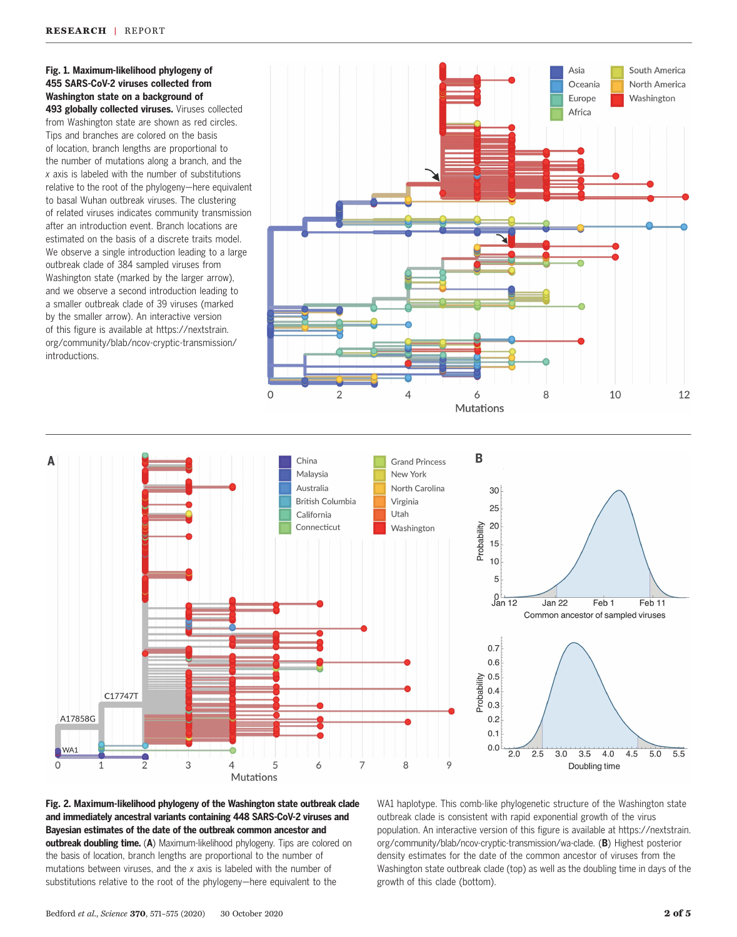#### Fig. 1. Maximum-likelihood phylogeny of 455 SARS-CoV-2 viruses collected from Washington state on a background of

493 globally collected viruses. Viruses collected from Washington state are shown as red circles. Tips and branches are colored on the basis of location, branch lengths are proportional to the number of mutations along a branch, and the x axis is labeled with the number of substitutions relative to the root of the phylogeny—here equivalent to basal Wuhan outbreak viruses. The clustering of related viruses indicates community transmission after an introduction event. Branch locations are estimated on the basis of a discrete traits model. We observe a single introduction leading to a large outbreak clade of 384 sampled viruses from Washington state (marked by the larger arrow), and we observe a second introduction leading to a smaller outbreak clade of 39 viruses (marked by the smaller arrow). An interactive version of this figure is available at [https://nextstrain.](https://doi.org/10.1101/2020.02.07.937862) [org/community/blab/ncov-cryptic-transmission/](https://doi.org/10.1101/2020.02.07.937862) [introductions](https://doi.org/10.1101/2020.02.07.937862).





## Fig. 2. Maximum-likelihood phylogeny of the Washington state outbreak clade and immediately ancestral variants containing 448 SARS-CoV-2 viruses and Bayesian estimates of the date of the outbreak common ancestor and outbreak doubling time. (A) Maximum-likelihood phylogeny. Tips are colored on the basis of location, branch lengths are proportional to the number of mutations between viruses, and the x axis is labeled with the number of substitutions relative to the root of the phylogeny—here equivalent to the

WA1 haplotype. This comb-like phylogenetic structure of the Washington state outbreak clade is consistent with rapid exponential growth of the virus population. An interactive version of this figure is available at [https://nextstrain.](https://doi.org/10.1101/2020.02.07.937862) [org/community/blab/ncov-cryptic-transmission/wa-clade](https://doi.org/10.1101/2020.02.07.937862). (B) Highest posterior density estimates for the date of the common ancestor of viruses from the Washington state outbreak clade (top) as well as the doubling time in days of the growth of this clade (bottom).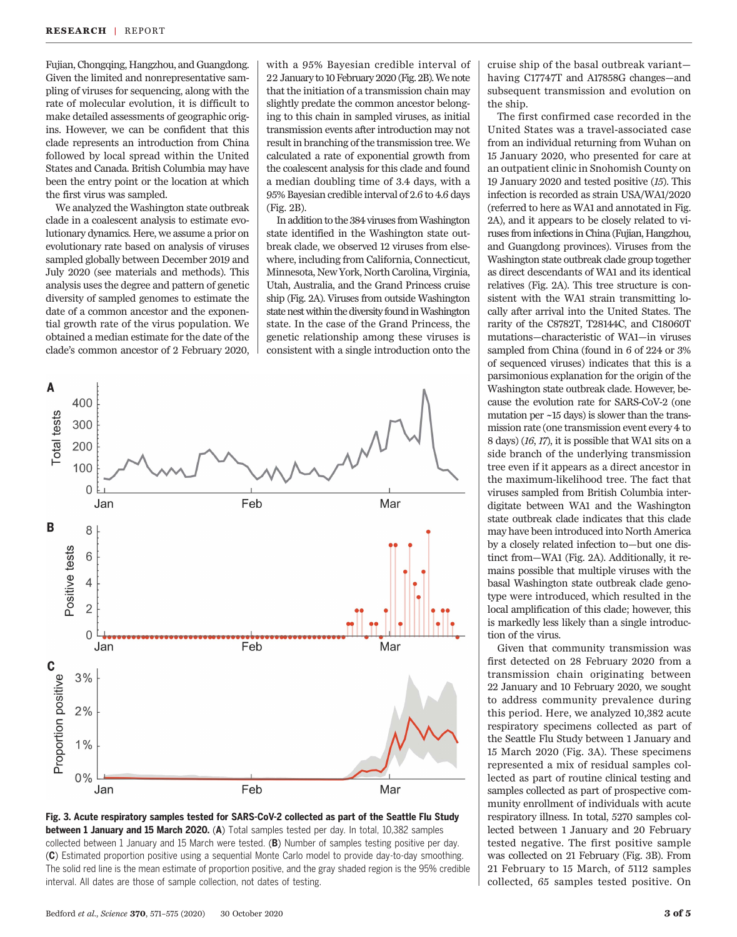Fujian, Chongqing, Hangzhou, and Guangdong. Given the limited and nonrepresentative sampling of viruses for sequencing, along with the rate of molecular evolution, it is difficult to make detailed assessments of geographic origins. However, we can be confident that this clade represents an introduction from China followed by local spread within the United States and Canada. British Columbia may have been the entry point or the location at which the first virus was sampled.

We analyzed the Washington state outbreak clade in a coalescent analysis to estimate evolutionary dynamics. Here, we assume a prior on evolutionary rate based on analysis of viruses sampled globally between December 2019 and July 2020 (see materials and methods). This analysis uses the degree and pattern of genetic diversity of sampled genomes to estimate the date of a common ancestor and the exponential growth rate of the virus population. We obtained a median estimate for the date of the clade's common ancestor of 2 February 2020,

with a 95% Bayesian credible interval of 22 January to 10 February 2020 (Fig. 2B).We note that the initiation of a transmission chain may slightly predate the common ancestor belonging to this chain in sampled viruses, as initial transmission events after introduction may not result in branching of the transmission tree. We calculated a rate of exponential growth from the coalescent analysis for this clade and found a median doubling time of 3.4 days, with a 95% Bayesian credible interval of 2.6 to 4.6 days (Fig. 2B).

In addition to the 384 viruses fromWashington state identified in the Washington state outbreak clade, we observed 12 viruses from elsewhere, including from California, Connecticut, Minnesota, New York, North Carolina, Virginia, Utah, Australia, and the Grand Princess cruise ship (Fig. 2A). Viruses from outside Washington state nest within the diversity found in Washington state. In the case of the Grand Princess, the genetic relationship among these viruses is consistent with a single introduction onto the





cruise ship of the basal outbreak variant having C17747T and A17858G changes—and subsequent transmission and evolution on the ship.

The first confirmed case recorded in the United States was a travel-associated case from an individual returning from Wuhan on 15 January 2020, who presented for care at an outpatient clinic in Snohomish County on 19 January 2020 and tested positive (15). This infection is recorded as strain USA/WA1/2020 (referred to here as WA1 and annotated in Fig. 2A), and it appears to be closely related to viruses from infections in China (Fujian, Hangzhou, and Guangdong provinces). Viruses from the Washington state outbreak clade group together as direct descendants of WA1 and its identical relatives (Fig. 2A). This tree structure is consistent with the WA1 strain transmitting locally after arrival into the United States. The rarity of the C8782T, T28144C, and C18060T mutations—characteristic of WA1—in viruses sampled from China (found in 6 of 224 or 3% of sequenced viruses) indicates that this is a parsimonious explanation for the origin of the Washington state outbreak clade. However, because the evolution rate for SARS-CoV-2 (one mutation per ~15 days) is slower than the transmission rate (one transmission event every 4 to 8 days) (16, 17), it is possible that WA1 sits on a side branch of the underlying transmission tree even if it appears as a direct ancestor in the maximum-likelihood tree. The fact that viruses sampled from British Columbia interdigitate between WA1 and the Washington state outbreak clade indicates that this clade may have been introduced into North America by a closely related infection to—but one distinct from—WA1 (Fig. 2A). Additionally, it remains possible that multiple viruses with the basal Washington state outbreak clade genotype were introduced, which resulted in the local amplification of this clade; however, this is markedly less likely than a single introduction of the virus.

Given that community transmission was first detected on 28 February 2020 from a transmission chain originating between 22 January and 10 February 2020, we sought to address community prevalence during this period. Here, we analyzed 10,382 acute respiratory specimens collected as part of the Seattle Flu Study between 1 January and 15 March 2020 (Fig. 3A). These specimens represented a mix of residual samples collected as part of routine clinical testing and samples collected as part of prospective community enrollment of individuals with acute respiratory illness. In total, 5270 samples collected between 1 January and 20 February tested negative. The first positive sample was collected on 21 February (Fig. 3B). From 21 February to 15 March, of 5112 samples collected, 65 samples tested positive. On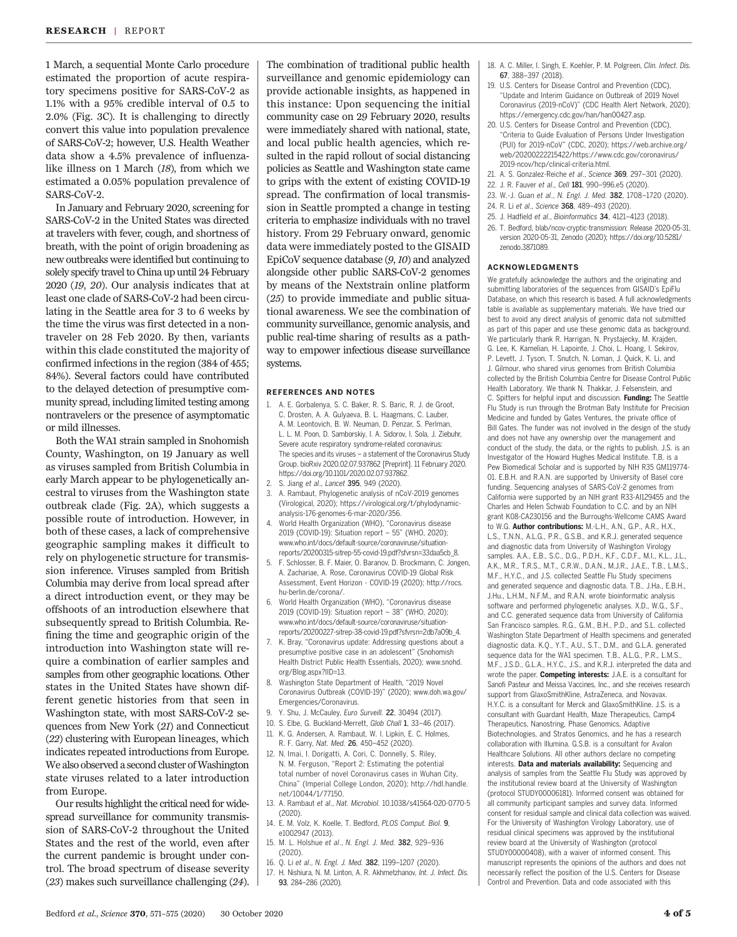1 March, a sequential Monte Carlo procedure estimated the proportion of acute respiratory specimens positive for SARS-CoV-2 as 1.1% with a 95% credible interval of 0.5 to 2.0% (Fig. 3C). It is challenging to directly convert this value into population prevalence of SARS-CoV-2; however, U.S. Health Weather data show a 4.5% prevalence of influenzalike illness on 1 March (18), from which we estimated a 0.05% population prevalence of SARS-CoV-2.

In January and February 2020, screening for SARS-CoV-2 in the United States was directed at travelers with fever, cough, and shortness of breath, with the point of origin broadening as new outbreaks were identified but continuing to solely specify travel to China up until 24 February 2020 (19, 20). Our analysis indicates that at least one clade of SARS-CoV-2 had been circulating in the Seattle area for 3 to 6 weeks by the time the virus was first detected in a nontraveler on 28 Feb 2020. By then, variants within this clade constituted the majority of confirmed infections in the region (384 of 455; 84%). Several factors could have contributed to the delayed detection of presumptive community spread, including limited testing among nontravelers or the presence of asymptomatic or mild illnesses.

Both the WA1 strain sampled in Snohomish County, Washington, on 19 January as well as viruses sampled from British Columbia in early March appear to be phylogenetically ancestral to viruses from the Washington state outbreak clade (Fig. 2A), which suggests a possible route of introduction. However, in both of these cases, a lack of comprehensive geographic sampling makes it difficult to rely on phylogenetic structure for transmission inference. Viruses sampled from British Columbia may derive from local spread after a direct introduction event, or they may be offshoots of an introduction elsewhere that subsequently spread to British Columbia. Refining the time and geographic origin of the introduction into Washington state will require a combination of earlier samples and samples from other geographic locations. Other states in the United States have shown different genetic histories from that seen in Washington state, with most SARS-CoV-2 sequences from New York (21) and Connecticut (22) clustering with European lineages, which indicates repeated introductions from Europe. We also observed a second cluster of Washington state viruses related to a later introduction from Europe.

Our results highlight the critical need for widespread surveillance for community transmission of SARS-CoV-2 throughout the United States and the rest of the world, even after the current pandemic is brought under control. The broad spectrum of disease severity (23) makes such surveillance challenging (24).

The combination of traditional public health surveillance and genomic epidemiology can provide actionable insights, as happened in this instance: Upon sequencing the initial community case on 29 February 2020, results were immediately shared with national, state, and local public health agencies, which resulted in the rapid rollout of social distancing policies as Seattle and Washington state came to grips with the extent of existing COVID-19 spread. The confirmation of local transmission in Seattle prompted a change in testing criteria to emphasize individuals with no travel history. From 29 February onward, genomic data were immediately posted to the GISAID EpiCoV sequence database (9,10) and analyzed alongside other public SARS-CoV-2 genomes by means of the Nextstrain online platform (25) to provide immediate and public situational awareness. We see the combination of community surveillance, genomic analysis, and public real-time sharing of results as a pathway to empower infectious disease surveillance systems.

#### REFERENCES AND NOTES

- 1. A. E. Gorbalenya, S. C. Baker, R. S. Baric, R. J. de Groot, C. Drosten, A. A. Gulyaeva, B. L. Haagmans, C. Lauber, A. M. Leontovich, B. W. Neuman, D. Penzar, S. Perlman, L. L. M. Poon, D. Samborskiy, I. A. Sidorov, I. Sola, J. Ziebuhr, Severe acute respiratory syndrome-related coronavirus: The species and its viruses – a statement of the Coronavirus Study Group. bioRxiv 2020.02.07.937862 [Preprint]. 11 February 2020. <https://doi.org/10.1101/2020.02.07.937862>.
- 2. S. Jiang et al., Lancet 395, 949 (2020).
- 3. A. Rambaut, Phylogenetic analysis of nCoV-2019 genomes (Virological, 2020); [https://virological.org/t/phylodynamic](https://virological.org/t/phylodynamic-analysis-176-genomes-6-mar-2020/356)[analysis-176-genomes-6-mar-2020/356](https://virological.org/t/phylodynamic-analysis-176-genomes-6-mar-2020/356).
- 4. World Health Organization (WHO), "Coronavirus disease 2019 (COVID-19): Situation report – 55" (WHO, 2020); [www.who.int/docs/default-source/coronaviruse/situation](https://www.who.int/docs/default-source/coronaviruse/situation-reports/20200315-sitrep-55-covid-19.pdf?sfvrsn=33daa5cb_8)[reports/20200315-sitrep-55-covid-19.pdf?sfvrsn=33daa5cb\\_8.](https://www.who.int/docs/default-source/coronaviruse/situation-reports/20200315-sitrep-55-covid-19.pdf?sfvrsn=33daa5cb_8)
- 5. F. Schlosser, B. F. Maier, O. Baranov, D. Brockmann, C. Jongen, A. Zachariae, A. Rose, Coronavirus COVID-19 Global Risk Assessment, Event Horizon - COVID-19 (2020); [http://rocs.](http://rocs.hu-berlin.de/corona/) [hu-berlin.de/corona/](http://rocs.hu-berlin.de/corona/).
- 6. World Health Organization (WHO), "Coronavirus disease 2019 (COVID-19): Situation report – 38" (WHO, 2020); [www.who.int/docs/default-source/coronaviruse/situation](https://www.who.int/docs/default-source/coronaviruse/situation-reports/20200227-sitrep-38-covid-19.pdf?sfvrsn=2db7a09b_4)[reports/20200227-sitrep-38-covid-19.pdf?sfvrsn=2db7a09b\\_4](https://www.who.int/docs/default-source/coronaviruse/situation-reports/20200227-sitrep-38-covid-19.pdf?sfvrsn=2db7a09b_4).
- 7. K. Bray, "Coronavirus update: Addressing questions about a presumptive positive case in an adolescent" (Snohomish Health District Public Health Essentials, 2020); [www.snohd.](https://www.snohd.org/Blog.aspx?IID=13) [org/Blog.aspx?IID=13](https://www.snohd.org/Blog.aspx?IID=13).
- Washington State Department of Health, "2019 Novel Coronavirus Outbreak (COVID-19)" (2020); [www.doh.wa.gov/](https://www.doh.wa.gov/Emergencies/Coronavirus) [Emergencies/Coronavirus](https://www.doh.wa.gov/Emergencies/Coronavirus).
- 9. Y. Shu, J. McCauley, Euro Surveill. 22, 30494 (2017).
- 10. S. Elbe, G. Buckland-Merrett, Glob Chall 1, 33–46 (2017).
- 11. K. G. Andersen, A. Rambaut, W. I. Lipkin, E. C. Holmes,
- R. F. Garry, Nat. Med. 26, 450–452 (2020). 12. N. Imai, I. Dorigatti, A. Cori, C. Donnelly, S. Riley,
- N. M. Ferguson, "Report 2: Estimating the potential total number of novel Coronavirus cases in Wuhan City, China" (Imperial College London, 2020); [http://hdl.handle.](http://hdl.handle.net/10044/1/77150) [net/10044/1/77150.](http://hdl.handle.net/10044/1/77150)
- 13. A. Rambaut et al., Nat. Microbiol. 10.1038/s41564-020-0770-5 (2020).
- 14. E. M. Volz, K. Koelle, T. Bedford, PLOS Comput. Biol. 9, e1002947 (2013).
- 15. M. L. Holshue et al., N. Engl. J. Med. 382, 929–936 (2020).
- 16. Q. Li et al., N. Engl. J. Med. 382, 1199–1207 (2020).
- 17. H. Nishiura, N. M. Linton, A. R. Akhmetzhanov, Int. J. Infect. Dis. 93, 284–286 (2020).
- 18. A. C. Miller, I. Singh, E. Koehler, P. M. Polgreen, Clin. Infect. Dis. 67, 388–397 (2018).
- 19. U.S. Centers for Disease Control and Prevention (CDC), "Update and Interim Guidance on Outbreak of 2019 Novel Coronavirus (2019-nCoV)" (CDC Health Alert Network, 2020); <https://emergency.cdc.gov/han/han00427.asp>.
- 20. U.S. Centers for Disease Control and Prevention (CDC), "Criteria to Guide Evaluation of Persons Under Investigation (PUI) for 2019-nCoV" (CDC, 2020); [https://web.archive.org/](https://web.archive.org/web/20200222215422/https://www.cdc.gov/coronavirus/2019-ncov/hcp/clinical-criteria.html) [web/20200222215422/https://www.cdc.gov/coronavirus/](https://web.archive.org/web/20200222215422/https://www.cdc.gov/coronavirus/2019-ncov/hcp/clinical-criteria.html) [2019-ncov/hcp/clinical-criteria.html](https://web.archive.org/web/20200222215422/https://www.cdc.gov/coronavirus/2019-ncov/hcp/clinical-criteria.html).
- 21. A. S. Gonzalez-Reiche et al., Science 369, 297–301 (2020).
- 22. J. R. Fauver et al., Cell 181, 990-996.e5 (2020).
- 23. W.-J. Guan et al., N. Engl. J. Med. 382, 1708–1720 (2020).
- 24. R. Li et al., Science 368, 489–493 (2020).
- 25. J. Hadfield et al., Bioinformatics 34, 4121–4123 (2018).
- 26. T. Bedford, blab/ncov-cryptic-transmission: Release 2020-05-31, version 2020-05-31, Zenodo (2020); [https://doi.org/10.5281/](https://doi.org/10.5281/zenodo.3871089) [zenodo.3871089.](https://doi.org/10.5281/zenodo.3871089)

#### ACKNOWLEDGMENTS

We gratefully acknowledge the authors and the originating and submitting laboratories of the sequences from GISAID's EpiFlu Database, on which this research is based. A full acknowledgments table is available as supplementary materials. We have tried our best to avoid any direct analysis of genomic data not submitted as part of this paper and use these genomic data as background. We particularly thank R. Harrigan, N. Prystajecky, M. Krajden, G. Lee, K. Kamelian, H. Lapointe, J. Choi, L. Hoang, I. Sekirov, P. Levett, J. Tyson, T. Snutch, N. Loman, J. Quick, K. Li, and J. Gilmour, who shared virus genomes from British Columbia collected by the British Columbia Centre for Disease Control Public Health Laboratory. We thank N. Thakkar, J. Felsenstein, and C. Spitters for helpful input and discussion. Funding: The Seattle Flu Study is run through the Brotman Baty Institute for Precision Medicine and funded by Gates Ventures, the private office of Bill Gates. The funder was not involved in the design of the study and does not have any ownership over the management and conduct of the study, the data, or the rights to publish. J.S. is an Investigator of the Howard Hughes Medical Institute. T.B. is a Pew Biomedical Scholar and is supported by NIH R35 GM119774- 01. E.B.H. and R.A.N. are supported by University of Basel core funding. Sequencing analyses of SARS-CoV-2 genomes from California were supported by an NIH grant R33-AI129455 and the Charles and Helen Schwab Foundation to C.C. and by an NIH grant K08-CA230156 and the Burroughs-Wellcome CAMS Award to W.G. Author contributions: M.-L.H., A.N., G.P., A.R., H.X., L.S., T.N.N., A.L.G., P.R., G.S.B., and K.R.J. generated sequence and diagnostic data from University of Washington Virology samples. A.A., E.B., S.C., D.G., P.D.H., K.F., C.D.F., M.I., K.L., J.L., A.K., M.R., T.R.S., M.T., C.R.W., D.A.N., M.J.R., J.A.E., T.B., L.M.S., M.F., H.Y.C., and J.S. collected Seattle Flu Study specimens and generated sequence and diagnostic data. T.B., J.Ha., E.B.H., J.Hu., L.H.M., N.F.M., and R.A.N. wrote bioinformatic analysis software and performed phylogenetic analyses. X.D., W.G., S.F., and C.C. generated sequence data from University of California San Francisco samples. R.G., G.M., B.H., P.D., and S.L. collected Washington State Department of Health specimens and generated diagnostic data. K.Q., Y.T., A.U., S.T., D.M., and G.L.A. generated sequence data for the WA1 specimen. T.B., A.L.G., P.R., L.M.S., M.F., J.S.D., G.L.A., H.Y.C., J.S., and K.R.J. interpreted the data and wrote the paper. Competing interests: J.A.E. is a consultant for Sanofi Pasteur and Meissa Vaccines, Inc., and she receives research support from GlaxoSmithKline, AstraZeneca, and Novavax. H.Y.C. is a consultant for Merck and GlaxoSmithKline. J.S. is a consultant with Guardant Health, Maze Therapeutics, Camp4 Therapeutics, Nanostring, Phase Genomics, Adaptive Biotechnologies, and Stratos Genomics, and he has a research collaboration with Illumina. G.S.B. is a consultant for Avalon Healthcare Solutions. All other authors declare no competing interests. Data and materials availability: Sequencing and analysis of samples from the Seattle Flu Study was approved by the institutional review board at the University of Washington (protocol STUDY00006181). Informed consent was obtained for all community participant samples and survey data. Informed consent for residual sample and clinical data collection was waived. For the University of Washington Virology Laboratory, use of residual clinical specimens was approved by the institutional review board at the University of Washington (protocol STUDY00000408), with a waiver of informed consent. This manuscript represents the opinions of the authors and does not necessarily reflect the position of the U.S. Centers for Disease Control and Prevention. Data and code associated with this